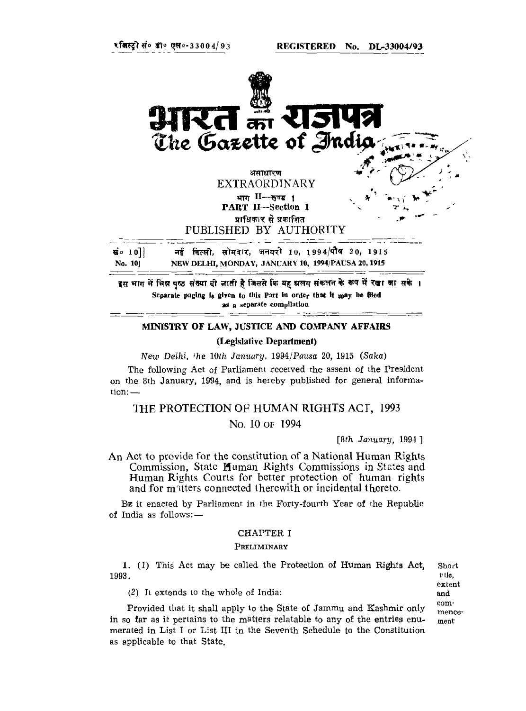

**as a separate compilation**

# MINISTRY OF LAW, JUSTICE AND COMPANY AFFAIRS

## (Legislative Department)

*New Delhi, the 10lh January,* 1994/Pausa 20, 1915 *(Saka)*

The following Act of Parliament received the assent of the President on the 8th January, 1994, and is hereby published for general information:—

# THE PROTECTION OF HUMAN RIGHTS ACT, 1993

No. 10 OF 1994

[8th *January,* 1994 ]

An Act to provide for the constitution of a National Human Rights Commission, State Human Rights Commissions in States and Human Rights Courts for better protection of human rights and for matters connected therewith or incidental thereto.

BE it enacted by Parliament in the Forty-fourth Year of the Republic of India as follows: —

## CHAPTER I

### PRELIMINARY

1. *(1)* This Act may be called the Protection of Human Rights Act, 1993.

(2) It extends to the whole of India:

Provided that it shall apply to the State of Jammu and Kashmir only in so far as it pertains to the matters relatable to any of the entries enumerated in List I or List III in the Seventh Schedule to the Constitution as applicable to that State.

Short title, extent and commencement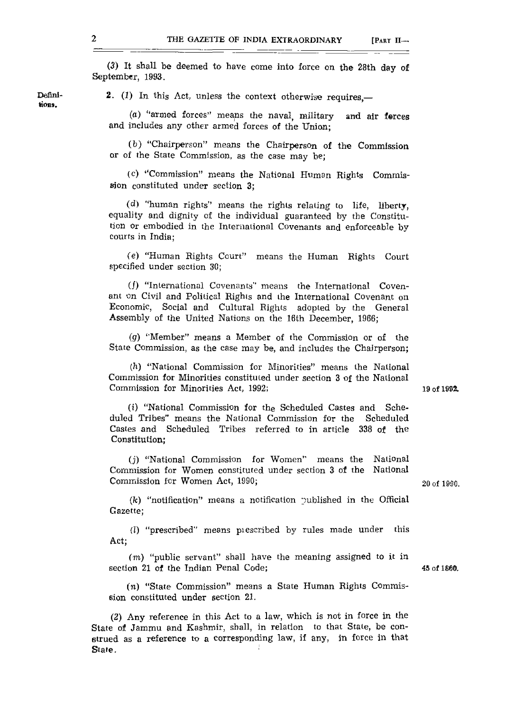(3) It shall be deemed to have come into force on the 28th day of September, 1993.

2. *(1)* In thig Act, unless the context otherwise requires,—

(a) "armed forces" means the naval, military and air ferces and includes any other armed forces of the Union;

(b) "Chairperson" means the Chairperson of the Commission or of the State Commission, as the case may be;

(c) "Commission" means the National Human Rights Commission constituted under section 3;

(d) "human rights" means the rights relating to life, liberty, equality and dignity of the individual guaranteed by the Constitution or embodied in the International Covenants and enforceable by courts in India;

(e) "Human Rights Court" means the Human Rights Court specified under section 30;

(/) "International Covenants" means the International Covenant on Civil and Political Rights and the International Covenant on Economic, Social and Cultural Rights adopted by the General Assembly of the United Nations on the 16th December, 1966;

*(g)* "Member" means a Member of the Commission or of the State Commission, as the case may be, and includes the Chairperson;

*(h)* "National Commission for Minorities" means the National Commission for Minorities constituted under section 3 of the National Commission for Minorities Act, 1992; 19 and 1992.

*(i)* "National Commission for the Scheduled Castes and Scheduled Tribes" means the National Commission for the Scheduled Castes and Scheduled Tribes referred to in article 338 of the Constitution;

(j) "National Commission for Women" means the National Commission for Women constituted under section 3 of the National Commission for Women Act, 1990; 20 of 1990.

*(k)* "notification" means a notification published in the Official Gazette;

(I) "prescribed" means piescribed by rules made under this Act;

*(m)* "public servant" shall have the meaning assigned to it in section 21 of the Indian Penal Code; 45 of 1860.

(n) "State Commission" means a State Human Rights Commis-Bion constituted under section 21.

(2) Any reference in this Act to a law, which is not in force in the State of Jammu and Kashmir, shall, in relation to that Stale, be construed as a reference to a corresponding law, if any, in force In that State.

Defini-

tions.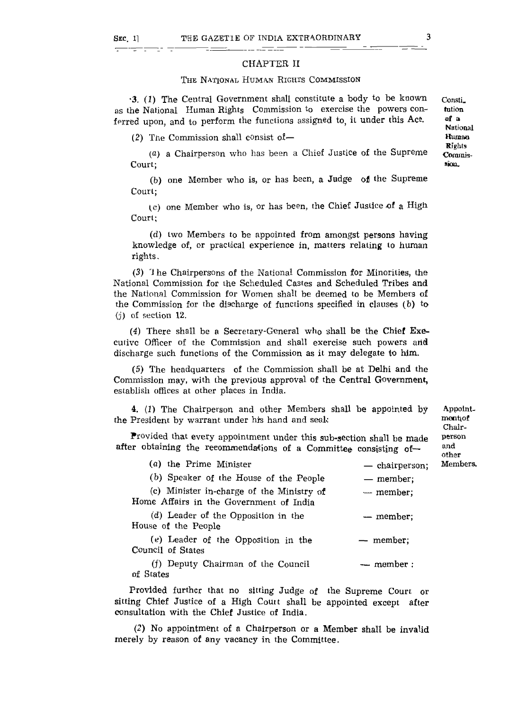## CHAPTER II

<u> 1988 - Johann Amerikaanse kommunister (</u>

### THE NATIONAL HUMAN RIGHTS COMMISSION

•3. *(1)* The Central Government shall constitute a body to be kaown as the National Human Rights Commission to exercise the powers conferred upon, and to perform the functions assigned to, it under this Act.

(2) The Commission shall consist of  $-$ 

(a) a Chairperson who has been a Chief Justice of the Supreme Court;

(b) one Member who is, or has been, a Judge of the Supreme Court;

(c) one Member who is, or has been, the Chief Justice of a High Court;

(d) two Members to be appointed from amongst persons having knowledge of, or practical experience in, matters relating to human rights.

(3) J he Chairpersons of the National Commission for Minorities, the National Commission for the Scheduled Castes and Scheduled Tribes and the National Commission for Women shall be deemed to be Members of the Commission for the discharge of functions specified in clauses (b) to *(j)* of section 12.

(4) There shall be a Secretary-General who shall be the Chief Executive Officer of the Commission and shall exercise such powers arid discharge such functions of the Commission as it may delegate to him.

(5) The headquarters of the Commission shall be at Delhi and the Commission may, with the previous approval of the Central Government, establish offices at other places in India.

4. *(1)* The Chairperson and other Members shall be appointed by the President by warrant under his hand and seal.:

Provided that every appointment under this sub-section shall be made after obtaining the recommendations of a Committee consisting of-

(a) the Prime Minister (b) Speaker of the House of the People (c) Minister in-charge of the Ministry of Home Affairs in the Government of India (d) Leader of the Opposition in the House of the People (e) Leader of the Opposition in the Council of States — chairperson; — member; — member; — member; — member;

(f) Deputy Chairman of the Council of States — member :

Provided further that no sitting Judge of the Supreme Court or sitting Chief Justice of a High Coutt shall be appointed except after consultation with the Chief Justice of India.

(2) No appointment of a Chairperson or a Member shall be invalid merely by reason of any vacancy in the Committee.

Appofntmontjof Chairperson and other Members.

<del>e control</del>e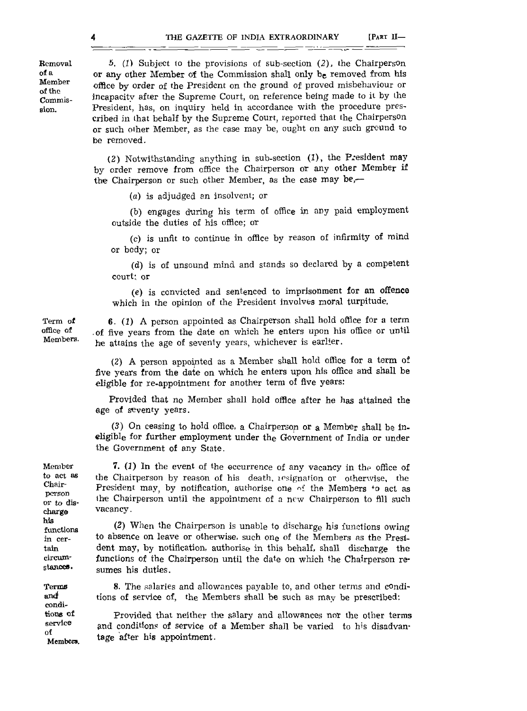Removal of a Member of the Commission.

5. *(1)* Subject (o the provisions of sub-section (2), the Chairperson or any other Member of the Commission shall only be removed from his office by order of the President on the ground of proved misbehaviour or Incapacity after the Supreme Court, on reference being made to it by the President, has, on inquiry held in accordance with the procedure prescribed in that behalf by the Supreme Court, reported that the Chairperson or such other Member, as the case may be, ought on any such ground to be removed.

(2) Notwithstanding anything in sub-section (1), the President may by order remove from office the Chairperson or any other Member if the Chairperson or such other Member, as the case may be,—

(a) is adjudged sn insolvent; or

(b) engages during his term of office in any paid employment outside the duties of his office; or

(c) is unfit to continue in office by reason of infirmity of mind or body; or

(d) is of unsound mind and stands so declared by a competent court; or

(e) is convicted and sentenced to imprisonment for an offence which in the opinion of the President involves moral turpitude.

6. *(!)* A person appointed as Chairperson shall hold office for a term .of five years from the date on which he enters upon his office or until he attains the age of seventy years, whichever is earlier.

(2) A person appointed as a Member shall hold office for a term of five years from the date on which he enters upon his office and shall be eligible for re-appointment for another term of five years:

Provided that no Member shall hold office after he has attained the age of seventy years.

(3) On ceasing to hold office, a Chairperson or a Member shall be ineligible for further employment under the Government of India or under the Government of any State.

7. *(1)* In the event of the occurrence of any vacancy in the office of the Chairperson by reason of his death, irsignation or otherwise, the President may, by notification, authorise one of the Members to act as the Chairperson until the appointment of a new Chairperson to fill such vacancy.

(2) When the Chairperson is unable to discharge his functions owing to absence on leave or otherwise, such one of the Members ns the President may, by notification, authorise in this behalf, shall discharge the functions of the Chairperson until the date on which the Chairperson resumes his duties.

8. The salaries and allowances payable to, and other terras and conditions of service of, the Members shall be such as may be prescribed:

Provided that neither the salary and allowances nor the other terms and conditions of service of a Member shall be varied to his disadvantage after his appointment.

Term of office of Members.

Member to act as Chairperson or to discharge his functions in certain circumstances.

Terms and conditions of service of Members.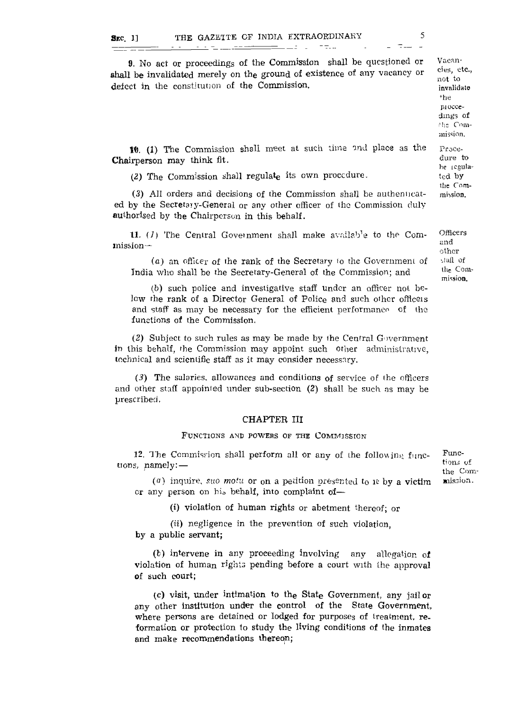9. No act or proceedings of the Commission shall be questioned or shall be invalidated merely on the ground of existence of any vacancy or detect in the constitution of the Commission.

cies, etc., not to invalidate +he pioccedings of i 1 he Commission,

Procedure to he icgulated by the Commission.

10. (1) The Commission shall meet at such time and place as the Chairperson may think fit.

*(2)* The Commission shall regulate its own procedure.

(3) All orders and decisions of the Commission shall be authenticated by the Secretary-General or any other officer of the Commission duly authorised by the Chairperson in this behalf.

11.  $(I)$  The Central Government shall make available to the Commission—

(a) an officer of the rank of the Secretary to the Government of India who shall be the Secretary-General of the Commission; and

(b) such police and investigative staff under an officer not below the rank of a Director General of Police and such other ofticeis and staff as may be necessary for the efficient performance of the functions of the Commission.

(2) Subject to such rules as may be made by the Central Government in this behalf, the Commission may appoint such other administrative, technical and scientific staff as it may consider necessary.

*(3)* The salaries, allowances and conditions of service of (he officers and other staff appointed under sub-section (2) shall be such as may be prescribed,

## CHAPTER III

### FUNCTIONS AND POWERS OF THE COMMISSION

12. The Commission shall perform all or any of the following funcions, namely: —

(o) inquire, *suo motu* or on a petition presented to it by a victim or any person on hie behalf, into complaint of—

(i) violation of human rights or abetment thereof; or

*(it)* negligence in the prevention of such violation, by a public servant;

(b) intervene in any proceeding involving any allegation of violation of human rights pending before a court with the approval of such court;

(c) visit, under intimation to the State Government, any jailor any other institution under the control of the State Government, where persons are detained or lodged for purposes of treatment, re. formation or protection to study the living conditions of the inmates and make recommendations thereon;

Functions of the Commission.

Vacan-

Officers mid other •.mil of the Commission.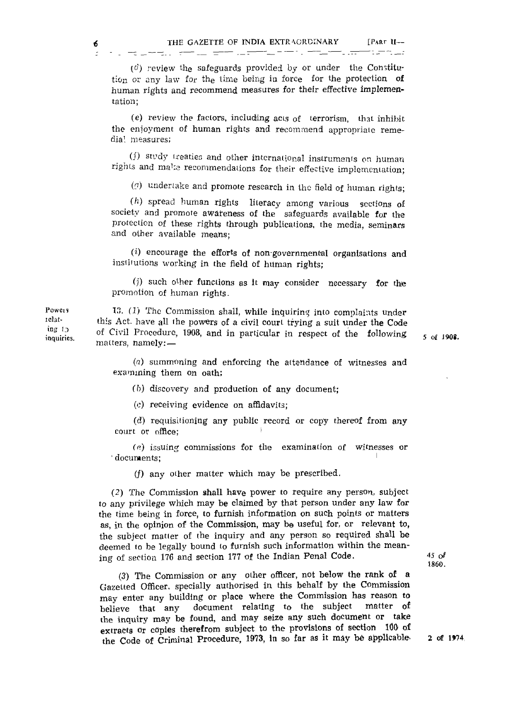الموارد المستوسط المستعمل المستعمل المستعمل التي تستعمل

 $(d)$  review the safeguards provided by or under the Constitution or any law for the time being in force for the protection of human rights and recommend measures for their effective implementation;

(e) review the factors, including acts of terrorism, that inhibit the enjoyment of human rights and recommend appropriate remedial measures;

(/) study ireaties and other international instruments on human rights and make recommendations for their effective implementation;

 $(4)$  undertake and promote research in the field of human rights;

*(h)* spread human rights literacy among various sections of society and promote awareness of the safeguards available for the protection of these rights through publications, the media, seminars and other available means;

*(i)* encourage the efforts of non-governmental organisations and institutions working in the field of human rights;

*(j)* such other functions as it may consider necessary for the promotion of human rights.

*\?i. (1)* The Commission shall, while inquiring into complaints under this Act. have all 'he powers of a civil court trying a suit under the Code of Civil Procedure, 1908, and in particular in respect of the following matters, namely: —

5 of **J908.**

*(a)* summoning and enforcing the attendance of witnesses and examining them on oath;

*(b)* discovery and production of any document;

(c) receiving evidence on affidavits;

*(d)* requisitioning any public record or copy thereof from any court or office;

*(c)* issuing commissions for the examination of witnesses or documents;

(f) any other matter which may be prescribed.

(2) The Commission shall have power to require any person, subject to any privilege which may be claimed by that person under any law for the time being in force, to furnish information on such points or matters as, in the opinion of the Commission, may be useful for, or relevant to, the subject matier of the inquiry and any person so required shall be deemed io be legally bound to furnish such information within the meaning of section 176 and section 177 of the Indian Penal Code. **45 of**

(3) The Commission or any other officer, not below the rank of a Gazetted Officer, specially authorised in this behalf by the Commission may enter any building or place where the Commission has reason to believe that any document relating to the subject matter of the inquiry may be found, and may seize any such document or take extracts or copies therefrom subject to the provisions of section 100 of the Code of Criminal Procedure, 1973, in so far as it may be applicable- **<sup>2</sup> of<sup>1974</sup>**

1860.

**Powers** lelat $ing$  t. inquiries.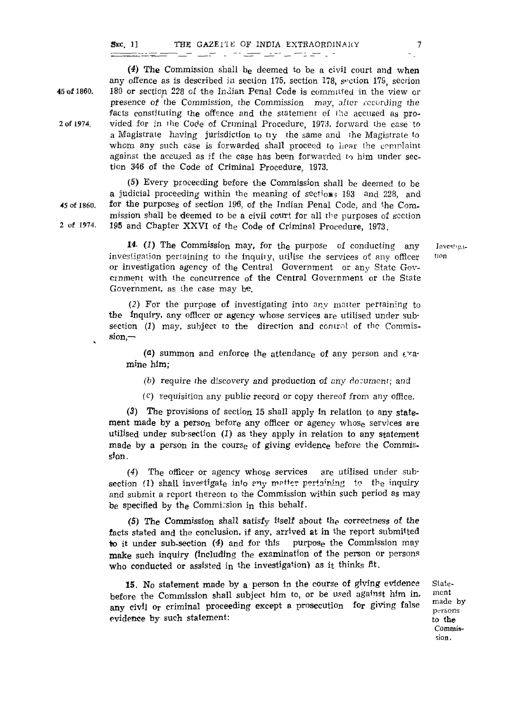# **SEC.** 1] THE GAZELLE OF INDIA EXTRAORDINARY 7

**45 of 1860.**

**2 of 1974.**

ಗುವರ್ ಮಾಡುವ ಹಾರಿಯ ಸಂ (4) The Commission shall be deemed to be a civil court and when any offence as is described in section 175, section 178, section 17S, section 180 or section 228 of the Indian Penal Code is commuted in the view or presence of the Commission, the Commission may, after recording the

facts constituting the offence and the statement of (he accused as provided for in ihe Code of Criminal Procedure, 1973, forward the case to a Magistrate having jurisdiction to tiy the same and the Magistrate to whom any such case is forwarded shall proceed to hoar the enmplaint against the accused as if the case has been forwarded to him under section 346 of the Code of Criminal Procedure, 1973.

*45* of **I860.** 2 of **1974.** (5) Every proceeding before the Commission shall be deemed to be a judicial proceeding within the meaning of  $\epsilon$  sections 193 and 228, and for the purposes of section 196, of the Indian Penal Code, and the Commission shall be deemed to be a civil court for all the purposes of section 195 and Chapter XXVI of the Code of Criminal Procedure, 1973.

> Investigation

14. *(1)* The Commission may, for the purpose of conducting any investigation pertaining to the inquiiy, utilise the services of any officer or investigation agency of the Central Government or any State Government with the concurrence of the Central Government or the State Government, as the case may be.

(2) For the purpose of investigating into any matter pertaining to the inquiry, any officer or agency whose services are utilised under subsection *(1)* may, subject to the direction and control of the Commission,—

(a) summon and enforce the attendance of any person and  $\epsilon$  amine him;

(b) require the discovery and production of any document; and

*(c)* requisition any public record or copy thereof from any office.

(3) The provisions of section 15 shall apply In relation to any statement made by a person before any officer or agency whose services are utilised under sub-section *(!)* as they apply in relation to any statement made by a person in the course of giving evidence before the Commission.

*(4)* The officer or agency whose services are utilised under subsection (1) shall investigate into any matter pertaining to the inquiry and submit a report thereon to the Commission within such period as may be specified by the Commitsion in this behalf.

(5) The Commission shall satisfy itself about the correctness of the facts stated and the conclusion, if any, arrived at in the report submitted to it under sub-section (4) and for this purpose the Commission may make such inquiry (including the examination of the person or persons who conducted or assisted in the investigation) as it thinks fit.

15. No statement made by a person in the course of giving evidence before the Commission shall subject him to, or be used against him in, any civil or criminal proceeding except a prosecution for giving false evidence by such statement:

Statement made by persons to **the Commission** .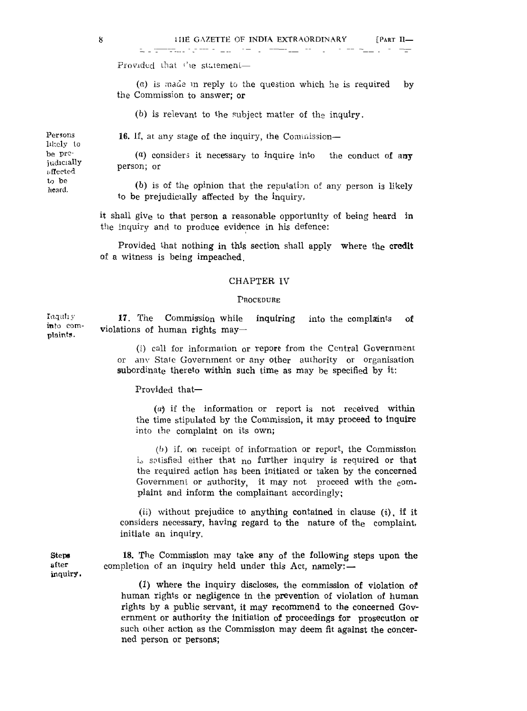de<del>r t</del>artementar en la <del>soc</del>al total de p

Provided that the statement—

(a) is made m reply to the question which he is required by the Commission to answer; or

(b) is relevant to the subject matter of the inquiry.

16. If, at any stage of the inquiry, the Commission-

 $(4)$  considers it necessary to inquire into the conduct of any person; or

(b) is of the opinion that the reputation of any person is likely to be prejudicially affected by the inquiry,

it shall give to that person a reasonable opportunity of being heard in the inquiry and to produce evidence in his defence:

Provided <sup>l</sup>hat nothing in this section shall apply where the **credit** of a witness is being impeached.

### CHAPTER IV

### PROCEDURE

Inquhy 17. The Commission while inquiring into the complaints of violations of human rights may—

> (i) call for information or report from the Central Government or anv Stale Government or any other authority or organisation subordinate thereto within such time as may be specified by it:

Provided that—

*(a)* if the information or report is not received within the time stipulated by the Commission, it may proceed to inquire into the complaint on its own;

(f)) if, on receipt of information or report, the Commission is satisfied either that  $n_0$  further inquiry is required or that the required action has been initiated or taken by the concerned Government or authority, it may not proceed with the complaint and inform the complainant accordingly;

 $(ii)$  without prejudice to anything contained in clause  $(i)$ , if it considers necessary, having regard to the nature of the complaint, initiate an inquiry.

18. The Commission may take any of the following steps upon the completion of an inquiry held under this Act, namely: -

*(1)* where the inquiry discloses, the commission of violation of human rights or negligence in the prevention of violation of human rights by a public servant, it may recommend to the concerned Government or authority the initiation of proceedings for prosecution or such other action as the Commission may deem fit against the concerned person or persons;

Persons likely to be prejudicially i; fleeted to be heard.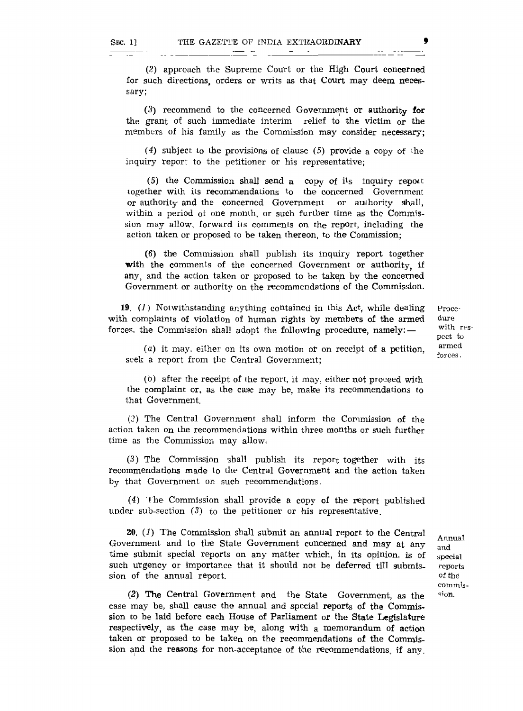$\equiv$   $\pm$ 

(2) approach the Supreme Court or the High Court concerned for such directions, orders or writs as that Court may deem necessary;

*(3)* recommend to the concerned Government or authority for the grant of such immediate interim relief to the victim or the members of his family as the Commission may consider necessary;

(4) subject to the provisions of clause (5) provide a copy of the inquiry report to the petitioner or his representative;

(5) the Commission shall send a copy of  $i$ <sup>t</sup>s inquiry repott together with its recommendations to the concerned Government or authority and the concerned Government or authority shall, within a period ot one month, or such further time as the Commission may allow, forward iis comments on the report, including the action taken or proposed to be taken thereon, to the Commission;

(6) the Commission shall publish its inquiry report together with the comments of the concerned Government or authority, if any, and the action taken or proposed to be taken by the concerned Government or authority on the recommendations of the Commission.

19. *(1 )* Notwithstanding anything contained in this Act, while dealing with complaints of violation of human rights by members of the armed forces, the Commission shall adopt the following procedure, namely: -

Procedure with respect to armed forces.

(a) it may, either on its own motion or on receipt of a petition, seek a report from the Central Government;

(b) after the receipt of (he report, it may, either not proceed with the complaint or, as the case may be, make its recommendations to that Government.

*(2)* The Central Government shall inform the Commission of the action taken on the recommendations within three months or such further time as the Commission may allow.

(3) The Commission shall publish its report together with its recommendations made to the Central Government and the action taken by that Government on such recommendations.

(4) The Commission shall provide a copy of the report published under sub-section *(3)* to the petitioner or his representative.

20. *(1)* The Commission shall submit an annual report to the Central Government and to the State Government concerned and may at any time submit special reports on any matter which, in its opinion, is of such urgency or importance that it should not be deferred till submission of the annual report.

Annual and ypecial reports of the commission.

(2) The Central Government and the State Government, as the case may be, shall cause the annual and special reports of the Commission to be laid before each House of Parliament or the State Legislature respectively, as the case may be, along with a memorandum of action taken or proposed to be taken on the recommendations of the Commission and the reasons for non-acceptance of the recommendations, if any.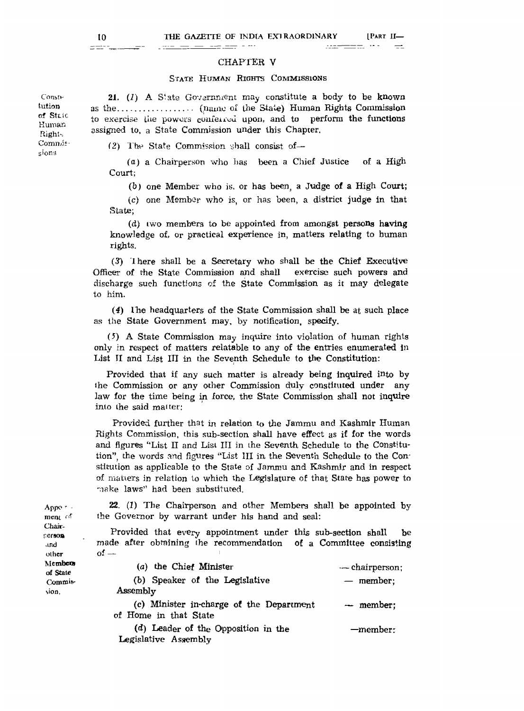$\sim$  -  $\sim$  -  $\sim$ 

### STATE HUMAN RIGHTS COMMISSIONS

21.  $(I)$  A S<sup>tate</sup> Government may constitute a body to be known as the  $\dots$ ,  $\dots$ ,  $\dots$ ,  $\dots$  (name of the State) Human Rights Commission to exercise the powers conferred upon, and to perform the functions assigned to, a State Commission under this Chapter.

Right-, Commíssions

Constitution of Staid Human

*(2)* Thv State Commission shall consist of—

<u> 1999 - Andrej Arthur Miller, Angl</u>

(a) a Chairperson who has been a Chief Justice of a High Court;

(b) one Member who is, or has been, a Judge of a High Court;

(c) one Member who is, or has been, a district judge in that State;

(d) LWO members to be appointed from amongst persons having knowledge of, or practical experience in, matters relating to human rights.

*(3)* Ihere shall be a Secretary who shall be the Chief Executive Officer of the State Commission and shall exercise such powers and discharge such functions of the State Commission as it may delegate to him.

(4) The headquarters of the State Commission shall be at such place as the State Government may, by notification, specify.

(5) A State Commission may inquire into violation of human rights only in respect of matters relatable to any of the entries enumerated In List II and List HI in the Seventh Schedule to the Constitution:

Provided that if any such matter is already being inquired into by lhe Commission or any other Commission duly constituted under any law for the time being in force, the State Commission shall not inquire into the said matter;

Provided further that in relation to the Jammu and Kashmir Human Rights Commission, this sub-section shall have effect as if for the words and figures "List II and List III in the Seventh Schedule to the Constitution", the words and figures "List III in the Seventh Schedule to the Constitution as applicable to the State of Jammu and Kashmir and in respect of matters in relation to which the Legislature of that State has power to make laws" had been substituted.

22. *(1)* The Chairperson and other Members shall be appointed by the Governor by warrant under his hand and seal:

Provided that every appointment under this sub-section shall be made after obtaining the recommendation of a Committee consisting  $of -$ 

| (a) the Chief Minister                         | - chairperson; |
|------------------------------------------------|----------------|
| (b) Speaker of the Legislative                 | $-$ member;    |
| Assembly                                       |                |
| (c) Minister in-charge of the Department       | $-$ member:    |
| of Home in that State                          |                |
| $\sim$ $\sim$ $\sim$ $\sim$ $\sim$<br>$\cdots$ |                |

(d) Leader of the Opposition in the Legislative Assembly —member:

Appo r  $m$ eng of Chairperson .ind other Membett of Stale Commission.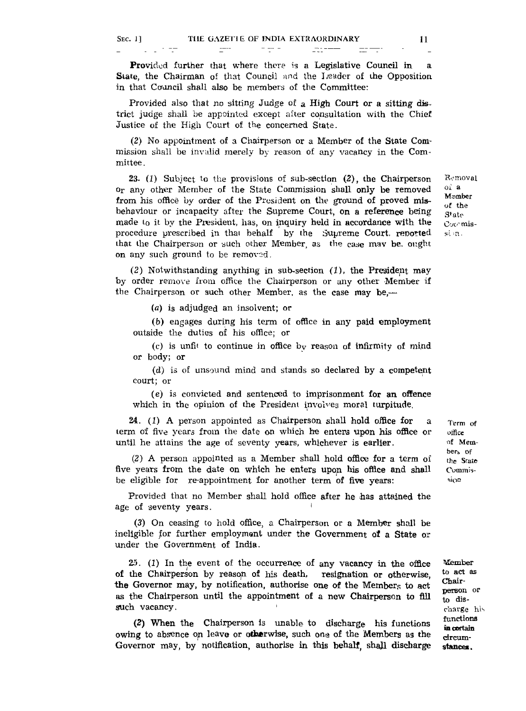$\mathbb{R}^{n \times n}$ 

Provided further that where there is a Legislative Council in a Slate, the Chairman of that Council nnd the Leader of the Opposition in that Council shall also be members of the Committee:

 $\sigma$  and  $\sigma$  .

 $\sim$   $\sim$   $\sim$   $\sim$   $\sim$ 

 $\pm$   $\pm$   $\pm$ 

Provided also that no sitting Judge of a High Court or a sitting district judge shall be appointed except after consultation with the Chief Justice of the High Court of the concerned State.

(2) No appointment of a Chairperson or a Member of the State Commission shall be invalid merely by reason of any vacancy in the  $Com$ mittee.

23- *(1)* Subject to the provisions of sub-section (2), the Chairperson Or any other Member of the State Commission shall only be removed from his office by order of the President on the ground of proved misbehaviour or incapacity after the Supreme Court, on a reference being made to it by the President, has, on inquiry held in accordance with the procedure prescribed in thai behalf by the Supreme Court, reported that the Chairperson or such other Member, as the case may be, ought on any such ground to be removed.

Removal oi a Member of the State<br>Cocemissi, in.

(2) Notwithstanding anything in sub-section *(1),* the President may by order remove from office the Chairperson or any other Member if the Chairperson or such other Member, as the case may be,—

*(a)* is adjudged an insolvent; or

*(b)* engages during his term of office in any paid employment outside the duties of his office; or

(c) is unfit to continue in office by reason of infirmity of mind or body; or

(d) is of unsound mind and stands so declared by a competent court; or

(e) is convicted and sentenced to imprisonment for an offence which in the opinion of the President invoiveg moral turpitude.

24. *(1)* A person appointed as Chairperson shall hold office for a term of five years from the date on which he enters upon his office or until he attains the age of seventy years, whichever is earlier.

(2) A person appointed as a Member shall hold office for a term *oi* five years from the date on which he enters upon his office and shall be eligible for re-appointment for another term of five years:

Provided that no Member shall hold office after he has attained the age of seventy years.

(3) On ceasing to hold office, a Chairperson or a Member shall be ineligible for further employmant under the Government *ot* a State or under the Government of India.

25. *(1)* In the event of the occurrence of any vacancy in the office of the Chairperson by reason of his death, resignation or otherwise, the Governor may, by notification, authorise one of the Members to act as the Chairperson until the appointment of a new Chairperson to fill such vacancy.

*(2)* When the Chairperson is unable to discharge his functions owing to absence on leave or otherwise, such one of the Members as the Governor may, by notification, authorise in this behalf, shajl discharge

Term of office of Members of the State  $_{\rm{Commiv}}$ sion

Member to act as Chairperson or to diecharge his functions in certain circumstances.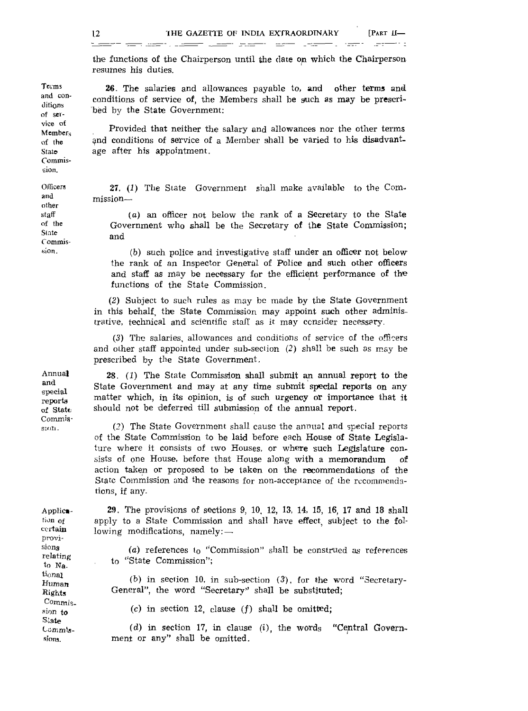$=$ 

 $\overline{\phantom{a}}$   $\overline{\phantom{a}}$   $\overline{\phantom{a}}$   $\overline{\phantom{a}}$ 

 $\cdot =$ 

the functions of the Chairperson until the date on which the Chairperson resumes his duties.

<u> 1988 - Sam</u>

26. The salaries and allowances payable to, and other terms and. conditions of service of, the Members shall be such as may be prescribed by the State Government:

Provided that neither the salary and allowances nor the other terms and conditions of service of a Member shall be varied to his disadvantage after his appointment.

27. *(1)* The State Government shall make available to the Commission—

(a) an officer not below the rank of a Secretary to the State Government who shall be the Secretary of the State Commission; and

(b) such police and investigative staff under an officer not below the rank of an Inspector General of Police and such other officers and staff as may be necessary for the efficient performance of the functions of the State Commission.

(2) Subject to such rules as may be made by the State Government in this behalf, the State Commission may appoint such other administrative, technical and scientific staff as it may consider necessary.

*(3)* The salaries, allowances and conditions of service of the officers and other staff appointed under sub-section  $(2)$  shall be such as may be prescribed by the State Government.

28. *(1)* The State Commission shall submit an annual report to the State Government and may at any rime submit special reports on any matter which, in its opinion, is of such urgency or importance that it should not be deferred till submission of the annual report.

*(2)* The State Government shall cause the annual and special reports of the State Commission to be laid before each House of State Legislature where it consists of two Houses, or where such Legislature con. sists of one House, before that House along with a memorandum of action taken or proposed to be taken on the recommendations of the State Commission and the reasons for non-accepiance of the recommendations, if any.

29. The provisions of sections 9, 10, 12, 13, 14, 15, 16, 17 and 18 shall apply to a State Commission and shall have effect, subject to the following modifications, namely: -

(a) references t<sub>0</sub> "Commission" shall be construed as references to "State Commission";

(b) in section 10, in sub-section (3), for the word "Secretary-General", the word "Secretary' shall be substituted;

 $(c)$  in section 12, clause  $(f)$  shall be omitted;

(d) in section 17, in clause  $(i)$ , the words "Central Government or any" shall be omitted.

Annual and special reports of Stat«; Commissinn.

Application Of certain provisions relating to National Human Rights Commission to Slate Commissions.

Ta-rns and conditions of service of Members of the State Commission. **Officers** 

and other staff of the Slate Commiswion.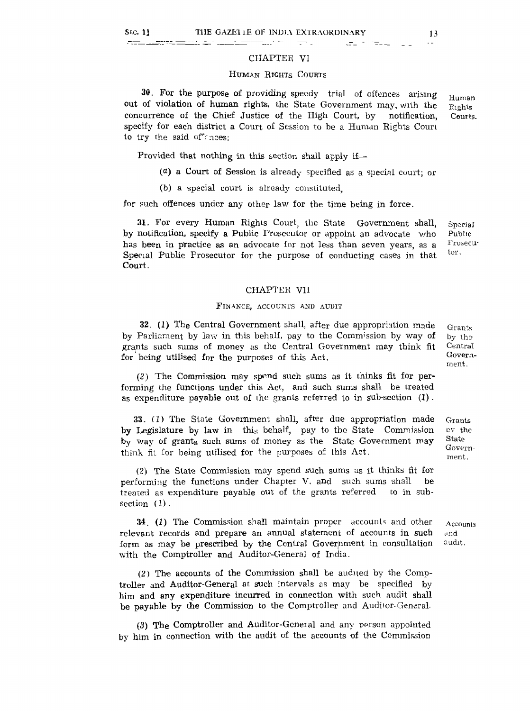$\sim$ 

### CHAPTER VI

### HUMAN RIGHTS COURTS

30. For the purpose of providing speedy trial of offences arising out of violation of human rights, the State Government may, with the concurrence of the Chief Justice of the High Court, by notification, specify for each district a Court of Session to be a Human Rights Couri to try the said of mees: Human Rights

Provided that nothing in this section shall apply if—

2009 <u>-</u> 2009 - 2009

- (a) a Court of Session is already specified as a special court; or
- (b) a special court is already constituted,

for such offences under any other law for the time being in force.

31. For every Human Rights Court, the State Government shall, by notification, specify a Public Prosecutor or appoint an advocate who has been in practice as an advocate for not less than seven years, as a Special Public Prosecutor for the purpose of conducting cases in that Court. **Special** Public Frgsecutor.

CHAPTER VII

### FINANCE, ACCOUNTS AND AUDIT

32. *(1)* The Central Government shall, after due appropriation made by Parliament by law in this behalf, pay to the Commission by way of grants such sums of money as the Central Government may think fit for being utilised for the purposes of this Act.

(2) The Commission may spend such sums as it thinks fit for performing the functions under this Act, and such sums shall be treated as expenditure payable out of the grants referred to in sub-section  $(1)$ .

33. *(1)* The State Government shall, after due appropriation made by Legislature by law in this behalf, pay to the State Commission by way of grants such sums of money as the State Government may think fit for being utilised for the purposes of this Act.

(2) The State Commission may spend such sums as it thinks fit for performing the functions under Chapter V, and such sums shall be treated as expenditure payable out of the grants referred to in subsection *(1).*

34. *(1)* The Commission shall maintain proper accounts and other relevant records and prepare an annual statement of accounts in such form as may be prescribed by the Central Government in consultation with the Comptroller and Auditor-General of India.

(2) The accounts of the Commission shall be audited by the Comptroller and Auditor-General at such intervals as may be specified by him and any expenditure incurred in connection with such audit shall be payable by the Commission to the Comptroller and Auditor-General.

(3) The Comptroller and Auditor-General and any person appointed by him in connection with the audit of the accounts of the Commission

Grants by the Central Government.

Grants cv the State Government.

Accounts und audit.

Courts.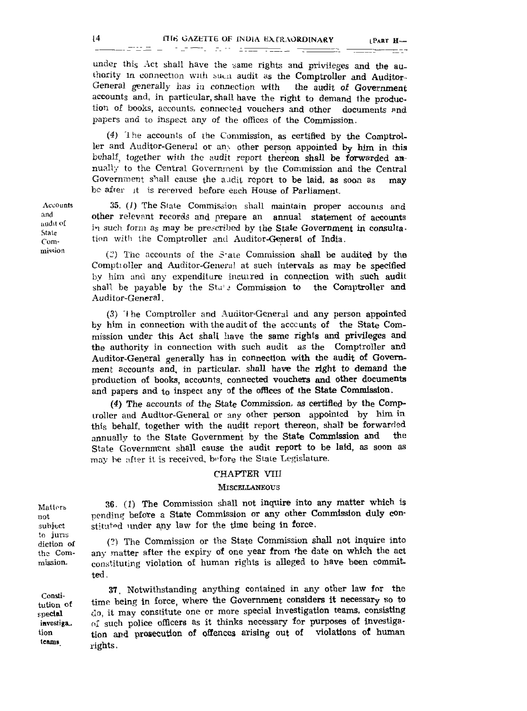under this Act shall have the same rights and privileges and the authority in connection with such audit as the Comptroller and Auditor-General generally has in connection with the audit of Government accounts and, in particular, shall have the right to demand the production of books, accounts, connected vouchers and other documents and papers and to inspect any of the offices of the Commission.

*(4)* 1 he accounts of the Commission, as certified by the Comptroller and Auditor-General or any other person appointed by him in this behalf, together with the audit report thereon shall be forwarded annually to the Central Government by the Commission and the Central Government shall cause the audit report to be laid, as soon as may be after it is received before each House of Parliament.

35. *(1)* The State Commission shall maintain proper accounts and other relevant records and prepare an annual statement of accounts in such form as may be prescribed by the State Government in consultation with the Comptroller and Auditor-General of India.

*('2)* The accounts of the S\*ale Commission shall be audited by the Comptioiler and Auditor-General at such intervals as may be specified by him and any expenditure incuired in connection with such audit shall be payable by the State Commission to the Comptroller and Auditor-General,

(3) "i he Comptroller and Auditor-General and any person appointed by him in connection with the audit of the accounts of the State Commission under this Act shall have the same rights and privileges and the authority in connection with such audit as the Comptroller and Auditor-General generally has in connection with the audit of Government accounts and, in particular, shall have the right to demand the production of books, accounts, connected vouchers and other documents and papers and to inspect any of the offices of the State Commission.

(4) The accounts of the State Commission, as certified by the Comptroller and Auditor-General or any other person appointed by him in this behalf, together with the audit report thereon, shall be forwarded annually to the State Government by the State Commission and the State Government shall cause the audit report to be laid, as soon as may he nfier il is received, before the SLale Legislature.

### CHAPTER VIII

#### **MISCELLANEOUS**

**Matters** not subject to juris diction of the **Commission.**

**Constitution of special** investiga. **tion tennis**

36. *(1)* The Commission shall not inquire into any matter which is pending before a State Commission or any other Commission duly constituted under any law for the time being in force.

(?) The Commission or the State Commission shall not Inquire into any matter after the expiry of one year from the date on which the act constituting violation of human rights is alleged to have been committed.

37. Notwithstanding anything contained in any other law for the time being in force, where the Government considers it necessary so to do, it may constitute one or more special investigation teams, consisting of such police officers as it thinks necessary for purposes of investigation and prosecution of offences arising out of violations of human rights.

Accounts and audit of State Commission

 $-$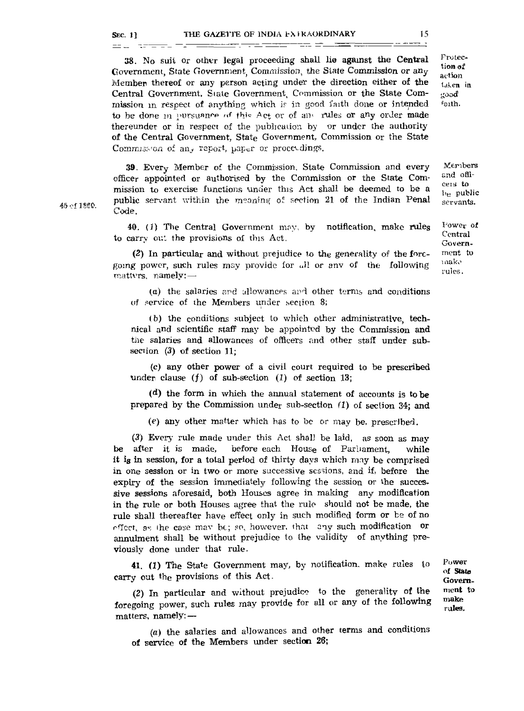$= -$ 

45 of 1 SCO.

38. No suit or other legal proceeding shall lie against the Central Government, State Government, Commission, the State Commission or any Member thereof or any person acting under the direction either of the Central Government. State Government, Commission or the State Commission in respect of anything which ir in good faith done or intended to be done in pursuance of this Act or of any rules or any order made thereunder or in respect of the publication by or under the authority of the Central Government, State Government, Commission or the State Commission of any report, paper or proceedings.

39. Every Member of the Commission, State Commission and every officer appointed or authorised by the Commission or the State Commission to exercise functions under this Act shall be deemed to be a public servant within the meaning of section 21 of the Indian Penal Code.

40. (1) The Central Government may, by notification, make rules to carry out the provisions of this Act.

(2) In particular and without prejudice to the generality of the foregoing power, such rules may provide for .ill or anv of the following mattvrs, namely:-

(a) the salaries apd allowances and other terms, and conditions of service of the Members under section 8;

(b) the conditions subject to which other administrative, technical and scientific staff may be appointed by the Commission and the salaries and allowances of officers and other staff under subsection *(3)* of section 11;

(c) any other power of a civil court required to be prescribed under clause  $(f)$  of sub-section  $(1)$  of section 13;

 $(d)$  the form in which the annual statement of accounts is to be prepared by the Commission under sub-section *(1)* of section 34; and

(?) any other matter which has to be or may be, prescribed.

*(3)* Every rule made under this Act shall be laid, as soon as may be after it is made, before each House of Parliament, while it is in session, for a total period of thirty days which may be comprised in one session or in two or more successive sessions, and if, before the expiry of the session immediately following the session or the successive sessions aforesaid, both Houses agree in making any modification in the rule or both Houses agree that the rule should not be made, the rule shall thereafter have effect only in such modified form or be of no rfTccf, as ihe cose mav be; *?o,* however, that any such modification or annulment shall be without prejudice to the validity of anything previously done under that rule.

41. *(1)* The State Government may, by notification, make rules to carry out the provisions of this Act.

Power of State Government to make rules.

(2) In particular and without prejudice to the generality of the foregoing power, such rules may provide for all or any of the following matters, namely: —

*(a)* the salaries and allowances and other terms and conditions of service of the Members under section 26;

Protection of action taken in *aood* faith.

Menbers end oflleeia to be public servants.

Vower of Central Government tu i nako rules.